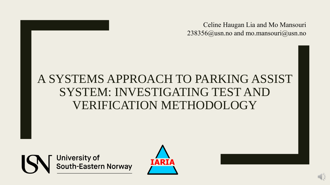Celine Haugan Lia and Mo Mansouri 238356@usn.no and mo.mansouri@usn.no

### A SYSTEMS APPROACH TO PARKING ASSIST SYSTEM: INVESTIGATING TEST AND VERIFICATION METHODOLOGY

**University of** South-Eastern Norway

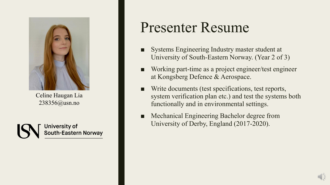

Celine Haugan Lia 238356@usn.no



# Presenter Resume

- Systems Engineering Industry master student at University of South-Eastern Norway. (Year 2 of 3)
- Working part-time as a project engineer/test engineer at Kongsberg Defence & Aerospace.
- Write documents (test specifications, test reports, system verification plan etc.) and test the systems both functionally and in environmental settings.
- Mechanical Engineering Bachelor degree from University of Derby, England (2017-2020).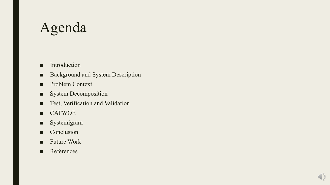# Agenda

- Introduction
- Background and System Description
- Problem Context
- System Decomposition
- Test, Verification and Validation
- CATWOE
- Systemigram
- Conclusion
- Future Work
- References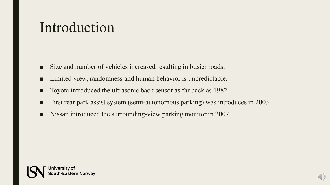## Introduction

- Size and number of vehicles increased resulting in busier roads.
- Limited view, randomness and human behavior is unpredictable.
- Toyota introduced the ultrasonic back sensor as far back as 1982.
- First rear park assist system (semi-autonomous parking) was introduces in 2003.
- Nissan introduced the surrounding-view parking monitor in 2007.

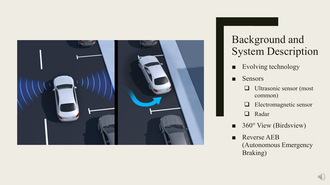

### Background and System Description

- Evolving technology
- Sensors
	- ❑ Ultrasonic sensor (most common)
	- ❑ Electromagnetic sensor
	- ❑ Radar
- 360° View (Birdsview)
- Reverse AEB (Autonomous Emergency Braking)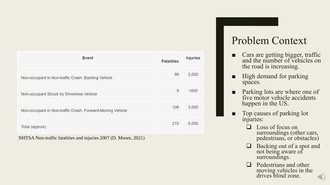| <b>Event</b>                                              | <b>Fatalities</b> | <b>Injuries</b> |
|-----------------------------------------------------------|-------------------|-----------------|
| Non-occupant in Non-traffic Crash: Backing Vehicle        | 99                | 2,000           |
| Non-occupant Struck by Driverless Vehicle                 | 5                 | < 500           |
| Non-occupant in Non-traffic Crash: Forward-Moving Vehicle | 106               | 3,000           |
| Total (approx)                                            | 210               | 5,000           |

NHTSA Non -traffic fatalities and injuries 2007 (D. Moore, 2021)

### Problem Context

- Cars are getting bigger, traffic and the number of vehicles on the road is increasing.
- High demand for parking spaces.
- Parking lots are where one of five motor vehicle accidents happen in the US.
- Top causes of parking lot injuries:
	- ❑ Loss of focus on surroundings (other cars, pedestrians, or obstacles)
	- ❑ Backing out of a spot and not being aware of surroundings.
	- ❑ Pedestrians and other moving vehicles in the drives blind zone.

E E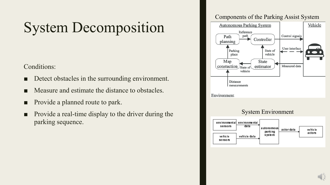# System Decomposition

#### Conditions:

- Detect obstacles in the surrounding environment.
- Measure and estimate the distance to obstacles.
- Provide a planned route to park.
- Provide a real-time display to the driver during the parking sequence.

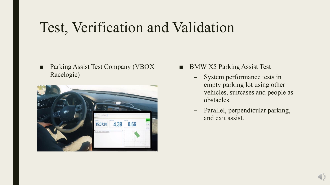# Test, Verification and Validation

■ Parking Assist Test Company (VBOX Racelogic)



- BMW X5 Parking Assist Test
	- System performance tests in empty parking lot using other vehicles, suitcases and people as obstacles.
	- Parallel, perpendicular parking, and exit assist.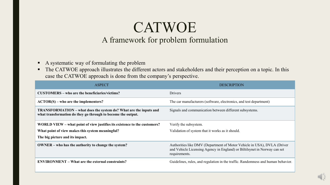### **CATWOE** A framework for problem formulation

- A systematic way of formulating the problem
- The CATWOE approach illustrates the different actors and stakeholders and their perception on a topic. In this case the CATWOE approach is done from the company's perspective.

| <b>ASPECT</b>                                                                                                                            | <b>DESCRIPTION</b>                                                                                                                                                    |
|------------------------------------------------------------------------------------------------------------------------------------------|-----------------------------------------------------------------------------------------------------------------------------------------------------------------------|
| CUSTOMERS – who are the beneficiaries/victims?                                                                                           | Drivers                                                                                                                                                               |
| $\angle ACTOR(S)$ – who are the implementers?                                                                                            | The car manufacturers (software, electronics, and test department)                                                                                                    |
| <b>TRANSFORMATION</b> – what does the system do? What are the inputs and<br>what transformation do they go through to become the output. | Signals and communication between different subsystems.                                                                                                               |
| WORLD VIEW – what point of view justifies its existence to the customers?                                                                | Verify the subsystem.                                                                                                                                                 |
| What point of view makes this system meaningful?                                                                                         | Validation of system that it works as it should.                                                                                                                      |
| The big picture and its impact.                                                                                                          |                                                                                                                                                                       |
| <b>OWNER</b> – who has the authority to change the system?                                                                               | Authorities like DMV (Department of Motor Vehicle in USA), DVLA (Driver<br>and Vehicle Licensing Agency in England) or Biltilsynet in Norway can set<br>requirements. |
| <b>ENVIRONMENT</b> – What are the external constraints?                                                                                  | Guidelines, rules, and regulation in the traffic. Randomness and human behavior.                                                                                      |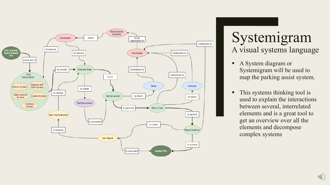

### Systemigram A visual systems language

- A System diagram or Systemigram will be used to map the parking assist system.
- This systems thinking tool is used to explain the interactions between several, interrelated elements and is a great tool to get an overview over all the elements and decompose complex systems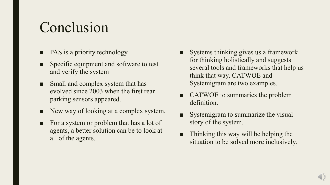# Conclusion

- PAS is a priority technology
- Specific equipment and software to test and verify the system
- Small and complex system that has evolved since 2003 when the first rear parking sensors appeared.
- New way of looking at a complex system.
- For a system or problem that has a lot of agents, a better solution can be to look at all of the agents.
- Systems thinking gives us a framework for thinking holistically and suggests several tools and frameworks that help us think that way. CATWOE and Systemigram are two examples.
- CATWOE to summaries the problem definition.
- Systemigram to summarize the visual story of the system.
- Thinking this way will be helping the situation to be solved more inclusively.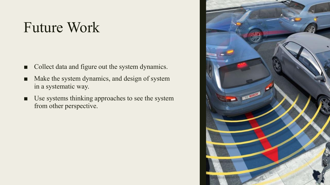# Future Work

- Collect data and figure out the system dynamics.
- Make the system dynamics, and design of system in a systematic way.
- Use systems thinking approaches to see the system from other perspective.